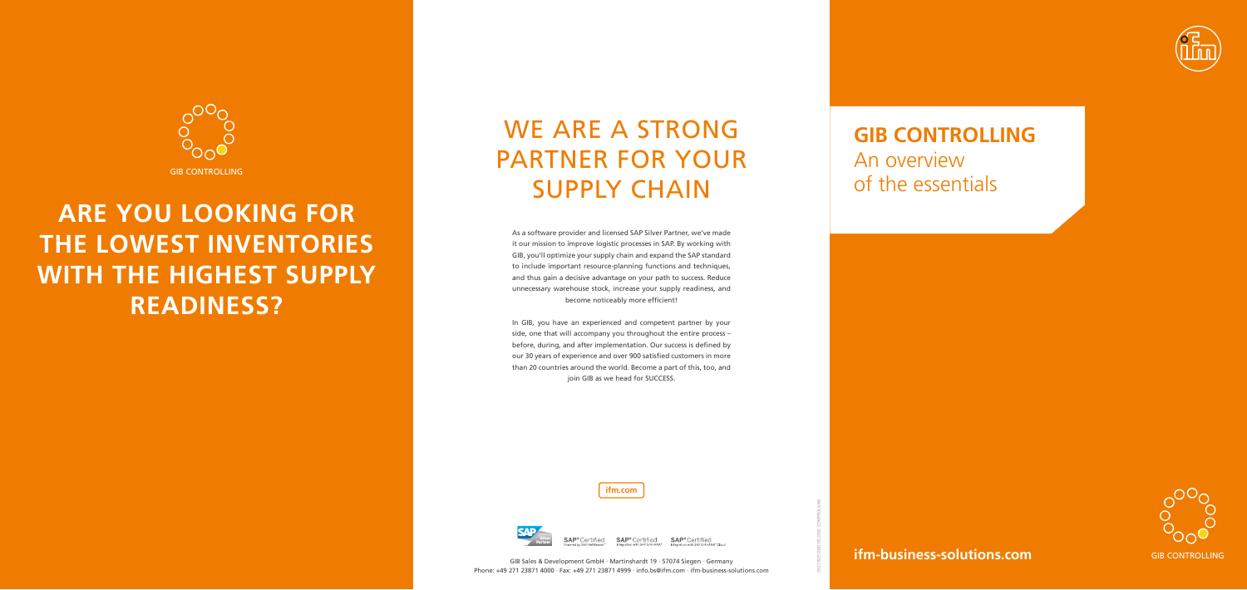### **ifm-business-solutions.com**

**ifm.com**



**SAP**®Certified

GIB CONTROLLING

## WE ARE A STRONG PARTNER FOR YOUR SUPPLY CHAIN



# **ARE YOU LOOKING FOR THE LOWEST INVENTORIES WITH THE HIGHEST SUPPLY READINESS?**



SAP<sup>®</sup> Certified SAP<sup>®</sup> Certified

### **GIB CONTROLLING**

An overview of the essentials

As a software provider and licensed SAP Silver Partner, we've made it our mission to improve logistic processes in SAP. By working with GIB, you'll optimize your supply chain and expand the SAP standard to include important resource-planning functions and techniques, and thus gain a decisive advantage on your path to success. Reduce unnecessary warehouse stock, increase your supply readiness, and become noticeably more efficient!

In GIB, you have an experienced and competent partner by your side, one that will accompany you throughout the entire process – before, during, and after implementation. Our success is defined by our 30 years of experience and over 900 satisfied customers in more than 20 countries around the world. Become a part of this, too, and join GIB as we head for SUCCESS.